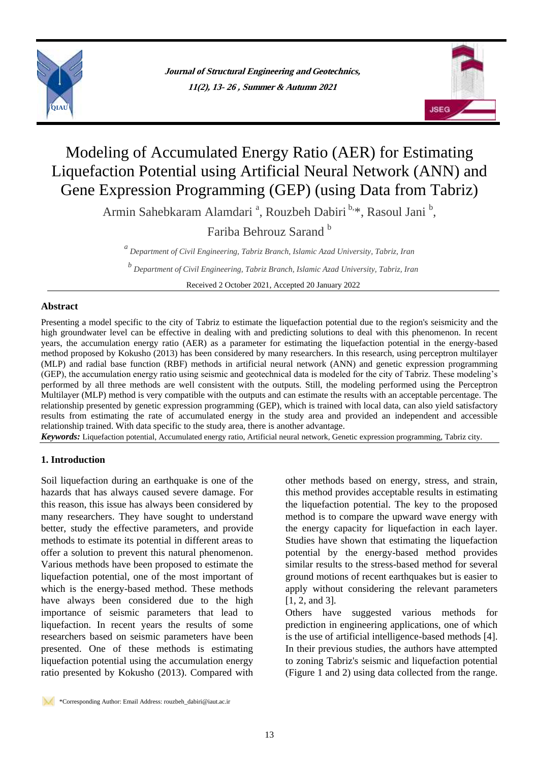



# Modeling of Accumulated Energy Ratio (AER) for Estimating Liquefaction Potential using Artificial Neural Network (ANN) and Gene Expression Programming (GEP) (using Data from Tabriz)

Armin Sahebkaram Alamdari<sup>a</sup>, Rouzbeh Dabiri<sup>b,\*</sup>, Rasoul Jani<sup>b</sup>,

Fariba Behrouz Sarand<sup>b</sup>

*a Department of Civil Engineering, Tabriz Branch, Islamic Azad University, Tabriz, Iran*

*b Department of Civil Engineering, Tabriz Branch, Islamic Azad University, Tabriz, Iran*

Received 2 October 2021, Accepted 20 January 2022

## **Abstract**

Presenting a model specific to the city of Tabriz to estimate the liquefaction potential due to the region's seismicity and the high groundwater level can be effective in dealing with and predicting solutions to deal with this phenomenon. In recent years, the accumulation energy ratio (AER) as a parameter for estimating the liquefaction potential in the energy-based method proposed by Kokusho (2013) has been considered by many researchers. In this research, using perceptron multilayer (MLP) and radial base function (RBF) methods in artificial neural network (ANN) and genetic expression programming (GEP), the accumulation energy ratio using seismic and geotechnical data is modeled for the city of Tabriz. These modeling's performed by all three methods are well consistent with the outputs. Still, the modeling performed using the Perceptron Multilayer (MLP) method is very compatible with the outputs and can estimate the results with an acceptable percentage. The relationship presented by genetic expression programming (GEP), which is trained with local data, can also yield satisfactory results from estimating the rate of accumulated energy in the study area and provided an independent and accessible relationship trained. With data specific to the study area, there is another advantage.

*Keywords:* Liquefaction potential, Accumulated energy ratio, Artificial neural network, Genetic expression programming, Tabriz city.

# **1. Introduction**

Soil liquefaction during an earthquake is one of the hazards that has always caused severe damage. For this reason, this issue has always been considered by many researchers. They have sought to understand better, study the effective parameters, and provide methods to estimate its potential in different areas to offer a solution to prevent this natural phenomenon. Various methods have been proposed to estimate the liquefaction potential, one of the most important of which is the energy-based method. These methods have always been considered due to the high importance of seismic parameters that lead to liquefaction. In recent years the results of some researchers based on seismic parameters have been presented. One of these methods is estimating liquefaction potential using the accumulation energy ratio presented by Kokusho (2013). Compared with

other methods based on energy, stress, and strain, this method provides acceptable results in estimating the liquefaction potential. The key to the proposed method is to compare the upward wave energy with the energy capacity for liquefaction in each layer. Studies have shown that estimating the liquefaction potential by the energy-based method provides similar results to the stress-based method for several ground motions of recent earthquakes but is easier to apply without considering the relevant parameters [1, 2, and 3].

Others have suggested various methods for prediction in engineering applications, one of which is the use of artificial intelligence-based methods [4]. In their previous studies, the authors have attempted to zoning Tabriz's seismic and liquefaction potential (Figure 1 and 2) using data collected from the range.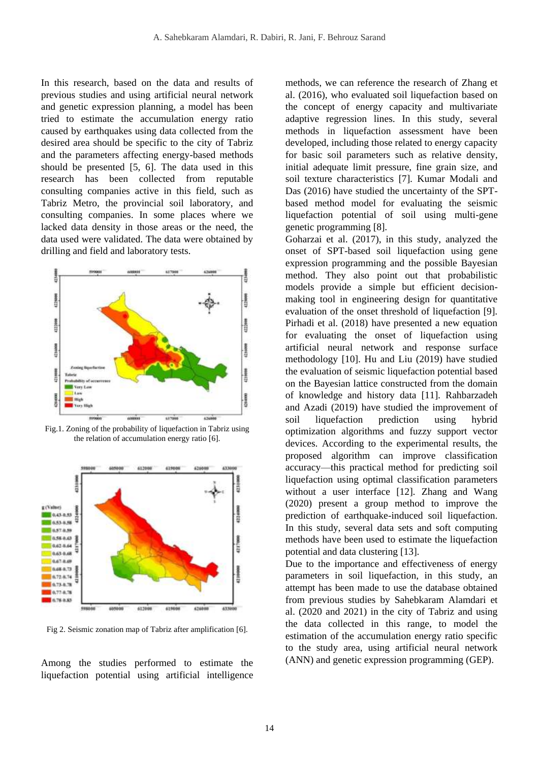In this research, based on the data and results of previous studies and using artificial neural network and genetic expression planning, a model has been tried to estimate the accumulation energy ratio caused by earthquakes using data collected from the desired area should be specific to the city of Tabriz and the parameters affecting energy-based methods should be presented [5, 6]. The data used in this research has been collected from reputable consulting companies active in this field, such as Tabriz Metro, the provincial soil laboratory, and consulting companies. In some places where we lacked data density in those areas or the need, the data used were validated. The data were obtained by drilling and field and laboratory tests.



Fig.1. Zoning of the probability of liquefaction in Tabriz using the relation of accumulation energy ratio [6].



Fig 2. Seismic zonation map of Tabriz after amplification [6].

Among the studies performed to estimate the liquefaction potential using artificial intelligence

methods, we can reference the research of Zhang et al. (2016), who evaluated soil liquefaction based on the concept of energy capacity and multivariate adaptive regression lines. In this study, several methods in liquefaction assessment have been developed, including those related to energy capacity for basic soil parameters such as relative density, initial adequate limit pressure, fine grain size, and soil texture characteristics [7]. Kumar Modali and Das (2016) have studied the uncertainty of the SPTbased method model for evaluating the seismic liquefaction potential of soil using multi-gene genetic programming [8].

Goharzai et al. (2017), in this study, analyzed the onset of SPT-based soil liquefaction using gene expression programming and the possible Bayesian method. They also point out that probabilistic models provide a simple but efficient decisionmaking tool in engineering design for quantitative evaluation of the onset threshold of liquefaction [9]. Pirhadi et al. (2018) have presented a new equation for evaluating the onset of liquefaction using artificial neural network and response surface methodology [10]. Hu and Liu (2019) have studied the evaluation of seismic liquefaction potential based on the Bayesian lattice constructed from the domain of knowledge and history data [11]. Rahbarzadeh and Azadi (2019) have studied the improvement of soil liquefaction prediction using hybrid optimization algorithms and fuzzy support vector devices. According to the experimental results, the proposed algorithm can improve classification accuracy—this practical method for predicting soil liquefaction using optimal classification parameters without a user interface [12]. Zhang and Wang (2020) present a group method to improve the prediction of earthquake-induced soil liquefaction. In this study, several data sets and soft computing methods have been used to estimate the liquefaction potential and data clustering [13].

Due to the importance and effectiveness of energy parameters in soil liquefaction, in this study, an attempt has been made to use the database obtained from previous studies by Sahebkaram Alamdari et al. (2020 and 2021) in the city of Tabriz and using the data collected in this range, to model the estimation of the accumulation energy ratio specific to the study area, using artificial neural network (ANN) and genetic expression programming (GEP).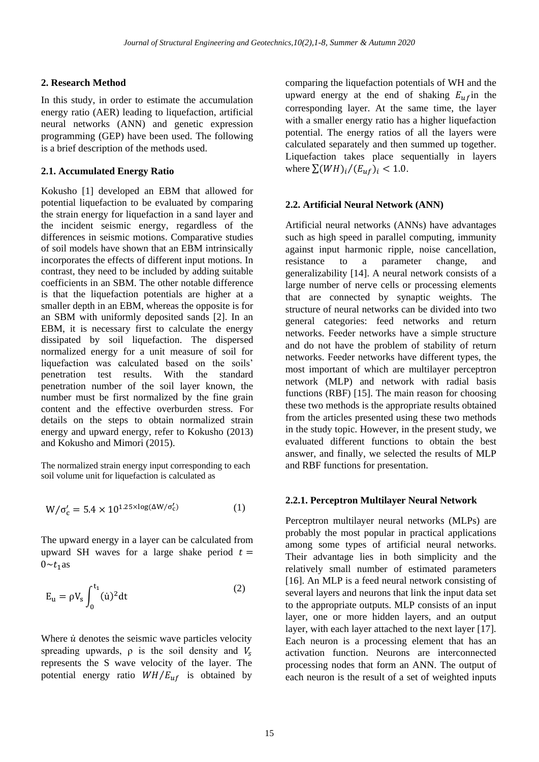# **2. Research Method**

In this study, in order to estimate the accumulation energy ratio (AER) leading to liquefaction, artificial neural networks (ANN) and genetic expression programming (GEP) have been used. The following is a brief description of the methods used.

## **2.1. Accumulated Energy Ratio**

Kokusho [1] developed an EBM that allowed for potential liquefaction to be evaluated by comparing the strain energy for liquefaction in a sand layer and the incident seismic energy, regardless of the differences in seismic motions. Comparative studies of soil models have shown that an EBM intrinsically incorporates the effects of different input motions. In contrast, they need to be included by adding suitable coefficients in an SBM. The other notable difference is that the liquefaction potentials are higher at a smaller depth in an EBM, whereas the opposite is for an SBM with uniformly deposited sands [2]. In an EBM, it is necessary first to calculate the energy dissipated by soil liquefaction. The dispersed normalized energy for a unit measure of soil for liquefaction was calculated based on the soils' penetration test results. With the standard penetration number of the soil layer known, the number must be first normalized by the fine grain content and the effective overburden stress. For details on the steps to obtain normalized strain energy and upward energy, refer to Kokusho (2013) and Kokusho and Mimori (2015).

The normalized strain energy input corresponding to each soil volume unit for liquefaction is calculated as

$$
W/\sigma'_{c} = 5.4 \times 10^{1.25 \times \log(\Delta W/\sigma'_{c})}
$$
 (1)

The upward energy in a layer can be calculated from upward SH waves for a large shake period  $t =$  $0 \sim t_1$  as

$$
E_u = \rho V_s \int_0^{t_1} (\dot{u})^2 dt \tag{2}
$$

Where  $\dot{u}$  denotes the seismic wave particles velocity spreading upwards,  $\rho$  is the soil density and  $V_s$ represents the S wave velocity of the layer. The potential energy ratio  $WH/E_{uf}$  is obtained by comparing the liquefaction potentials of WH and the upward energy at the end of shaking  $E_{\mu}$ fin the corresponding layer. At the same time, the layer with a smaller energy ratio has a higher liquefaction potential. The energy ratios of all the layers were calculated separately and then summed up together. Liquefaction takes place sequentially in layers where  $\sum (WH)_i/(E_{uf})_i < 1.0$ .

## **2.2. Artificial Neural Network (ANN)**

Artificial neural networks (ANNs) have advantages such as high speed in parallel computing, immunity against input harmonic ripple, noise cancellation, resistance to a parameter change, and generalizability [14]. A neural network consists of a large number of nerve cells or processing elements that are connected by synaptic weights. The structure of neural networks can be divided into two general categories: feed networks and return networks. Feeder networks have a simple structure and do not have the problem of stability of return networks. Feeder networks have different types, the most important of which are multilayer perceptron network (MLP) and network with radial basis functions (RBF) [15]. The main reason for choosing these two methods is the appropriate results obtained from the articles presented using these two methods in the study topic. However, in the present study, we evaluated different functions to obtain the best answer, and finally, we selected the results of MLP and RBF functions for presentation.

# **2.2.1. Perceptron Multilayer Neural Network**

Perceptron multilayer neural networks (MLPs) are probably the most popular in practical applications among some types of artificial neural networks. Their advantage lies in both simplicity and the relatively small number of estimated parameters [16]. An MLP is a feed neural network consisting of several layers and neurons that link the input data set to the appropriate outputs. MLP consists of an input layer, one or more hidden layers, and an output layer, with each layer attached to the next layer [17]. Each neuron is a processing element that has an activation function. Neurons are interconnected processing nodes that form an ANN. The output of each neuron is the result of a set of weighted inputs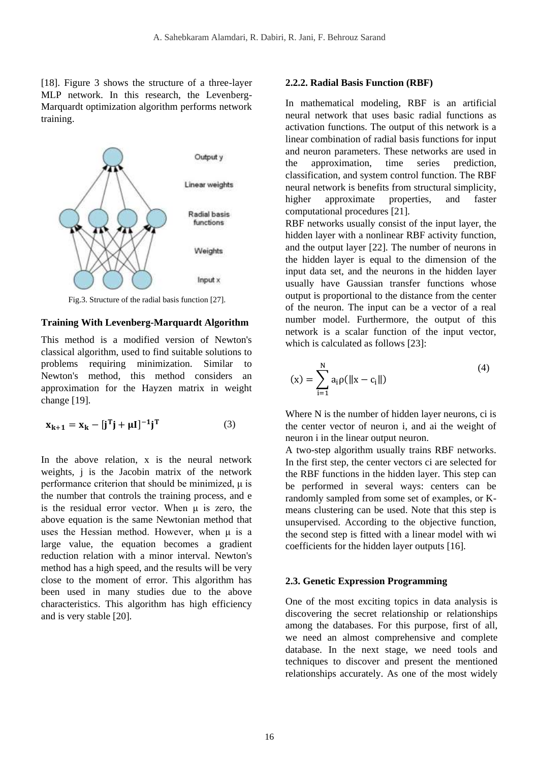[18]. Figure 3 shows the structure of a three-layer MLP network. In this research, the Levenberg-Marquardt optimization algorithm performs network training.



Fig.3. Structure of the radial basis function [27].

#### **Training With Levenberg-Marquardt Algorithm**

This method is a modified version of Newton's classical algorithm, used to find suitable solutions to problems requiring minimization. Similar to Newton's method, this method considers an approximation for the Hayzen matrix in weight change [19].

$$
\mathbf{x}_{k+1} = \mathbf{x}_k - [\mathbf{j}^T \mathbf{j} + \mu \mathbf{I}]^{-1} \mathbf{j}^T
$$
 (3)

In the above relation, x is the neural network weights, j is the Jacobin matrix of the network performance criterion that should be minimized, μ is the number that controls the training process, and e is the residual error vector. When  $\mu$  is zero, the above equation is the same Newtonian method that uses the Hessian method. However, when μ is a large value, the equation becomes a gradient reduction relation with a minor interval. Newton's method has a high speed, and the results will be very close to the moment of error. This algorithm has been used in many studies due to the above characteristics. This algorithm has high efficiency and is very stable [20].

#### **2.2.2. Radial Basis Function (RBF)**

In mathematical modeling, RBF is an artificial neural network that uses basic radial functions as activation functions. The output of this network is a linear combination of radial basis functions for input and neuron parameters. These networks are used in the approximation, time series prediction, classification, and system control function. The RBF neural network is benefits from structural simplicity, higher approximate properties, and faster computational procedures [21].

RBF networks usually consist of the input layer, the hidden layer with a nonlinear RBF activity function, and the output layer [22]. The number of neurons in the hidden layer is equal to the dimension of the input data set, and the neurons in the hidden layer usually have Gaussian transfer functions whose output is proportional to the distance from the center of the neuron. The input can be a vector of a real number model. Furthermore, the output of this network is a scalar function of the input vector, which is calculated as follows [23]:

$$
f(x) = \sum_{i=1}^{N} a_i \rho(||x - c_i||)
$$
 (4)

Where N is the number of hidden layer neurons, ci is the center vector of neuron i, and ai the weight of neuron i in the linear output neuron.

A two-step algorithm usually trains RBF networks. In the first step, the center vectors ci are selected for the RBF functions in the hidden layer. This step can be performed in several ways: centers can be randomly sampled from some set of examples, or Kmeans clustering can be used. Note that this step is unsupervised. According to the objective function, the second step is fitted with a linear model with wi coefficients for the hidden layer outputs [16].

#### **2.3. Genetic Expression Programming**

One of the most exciting topics in data analysis is discovering the secret relationship or relationships among the databases. For this purpose, first of all, we need an almost comprehensive and complete database. In the next stage, we need tools and techniques to discover and present the mentioned relationships accurately. As one of the most widely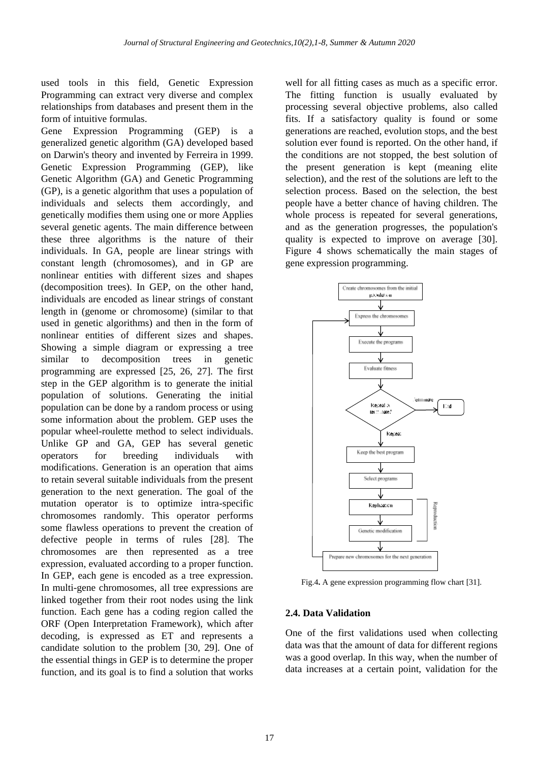used tools in this field, Genetic Expression Programming can extract very diverse and complex relationships from databases and present them in the form of intuitive formulas.

Gene Expression Programming (GEP) is a generalized genetic algorithm (GA) developed based on Darwin's theory and invented by Ferreira in 1999. Genetic Expression Programming (GEP), like Genetic Algorithm (GA) and Genetic Programming (GP), is a genetic algorithm that uses a population of individuals and selects them accordingly, and genetically modifies them using one or more Applies several genetic agents. The main difference between these three algorithms is the nature of their individuals. In GA, people are linear strings with constant length (chromosomes), and in GP are nonlinear entities with different sizes and shapes (decomposition trees). In GEP, on the other hand, individuals are encoded as linear strings of constant length in (genome or chromosome) (similar to that used in genetic algorithms) and then in the form of nonlinear entities of different sizes and shapes. Showing a simple diagram or expressing a tree similar to decomposition trees in genetic programming are expressed [25, 26, 27]. The first step in the GEP algorithm is to generate the initial population of solutions. Generating the initial population can be done by a random process or using some information about the problem. GEP uses the popular wheel-roulette method to select individuals. Unlike GP and GA, GEP has several genetic operators for breeding individuals with modifications. Generation is an operation that aims to retain several suitable individuals from the present generation to the next generation. The goal of the mutation operator is to optimize intra-specific chromosomes randomly. This operator performs some flawless operations to prevent the creation of defective people in terms of rules [28]. The chromosomes are then represented as a tree expression, evaluated according to a proper function. In GEP, each gene is encoded as a tree expression. In multi-gene chromosomes, all tree expressions are linked together from their root nodes using the link function. Each gene has a coding region called the ORF (Open Interpretation Framework), which after decoding, is expressed as ET and represents a candidate solution to the problem [30, 29]. One of the essential things in GEP is to determine the proper function, and its goal is to find a solution that works

well for all fitting cases as much as a specific error. The fitting function is usually evaluated by processing several objective problems, also called fits. If a satisfactory quality is found or some generations are reached, evolution stops, and the best solution ever found is reported. On the other hand, if the conditions are not stopped, the best solution of the present generation is kept (meaning elite selection), and the rest of the solutions are left to the selection process. Based on the selection, the best people have a better chance of having children. The whole process is repeated for several generations, and as the generation progresses, the population's quality is expected to improve on average [30]. Figure 4 shows schematically the main stages of gene expression programming.



Fig.4**.** A gene expression programming flow chart [31].

#### **2.4. Data Validation**

One of the first validations used when collecting data was that the amount of data for different regions was a good overlap. In this way, when the number of data increases at a certain point, validation for the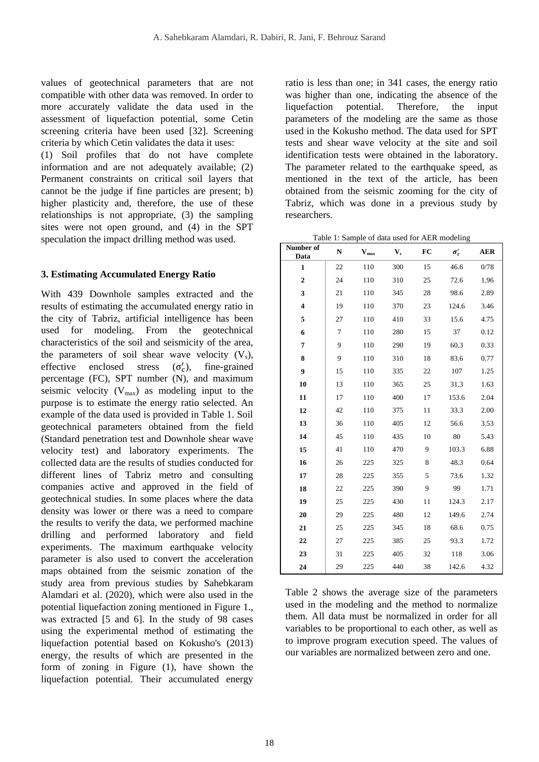values of geotechnical parameters that are not compatible with other data was removed. In order to more accurately validate the data used in the assessment of liquefaction potential, some Cetin screening criteria have been used [32]. Screening criteria by which Cetin validates the data it uses:

(1) Soil profiles that do not have complete information and are not adequately available; (2) Permanent constraints on critical soil layers that cannot be the judge if fine particles are present; b) higher plasticity and, therefore, the use of these relationships is not appropriate, (3) the sampling sites were not open ground, and (4) in the SPT speculation the impact drilling method was used.

## **3. Estimating Accumulated Energy Ratio**

With 439 Downhole samples extracted and the results of estimating the accumulated energy ratio in the city of Tabriz, artificial intelligence has been used for modeling. From the geotechnical characteristics of the soil and seismicity of the area, the parameters of soil shear wave velocity  $(V_s)$ , effective enclosed stress (  $(\sigma'_{c}),$ ), fine-grained percentage (FC), SPT number (N), and maximum seismic velocity  $(V_{max})$  as modeling input to the purpose is to estimate the energy ratio selected. An example of the data used is provided in Table 1. Soil geotechnical parameters obtained from the field (Standard penetration test and Downhole shear wave velocity test) and laboratory experiments. The collected data are the results of studies conducted for different lines of Tabriz metro and consulting companies active and approved in the field of geotechnical studies. In some places where the data density was lower or there was a need to compare the results to verify the data, we performed machine drilling and performed laboratory and field experiments. The maximum earthquake velocity parameter is also used to convert the acceleration maps obtained from the seismic zonation of the study area from previous studies by Sahebkaram Alamdari et al. (2020), which were also used in the potential liquefaction zoning mentioned in Figure 1., was extracted [5 and 6]. In the study of 98 cases using the experimental method of estimating the liquefaction potential based on Kokusho's (2013) energy, the results of which are presented in the form of zoning in Figure (1), have shown the liquefaction potential. Their accumulated energy

ratio is less than one; in 341 cases, the energy ratio was higher than one, indicating the absence of the liquefaction potential. Therefore, the input parameters of the modeling are the same as those used in the Kokusho method. The data used for SPT tests and shear wave velocity at the site and soil identification tests were obtained in the laboratory. The parameter related to the earthquake speed, as mentioned in the text of the article, has been obtained from the seismic zooming for the city of Tabriz, which was done in a previous study by researchers.

Table 1: Sample of data used for AER modeling **Number of** 

| <b>Number</b> of<br>Data | N  | $\mathbf{V}_{\text{max}}$ | $\mathbf{V}_\mathrm{s}$ | FC | $\sigma_c'$ | <b>AER</b> |
|--------------------------|----|---------------------------|-------------------------|----|-------------|------------|
| $\mathbf{1}$             | 22 | 110                       | 300                     | 15 | 46.6        | 0/78       |
| $\mathbf{2}$             | 24 | 110                       | 310                     | 25 | 72.6        | 1.96       |
| 3                        | 21 | 110                       | 345                     | 28 | 98.6        | 2.89       |
| 4                        | 19 | 110                       | 370                     | 23 | 124.6       | 3.46       |
| 5                        | 27 | 110                       | 410                     | 33 | 15.6        | 4.75       |
| 6                        | 7  | 110                       | 280                     | 15 | 37          | 0.12       |
| 7                        | 9  | 110                       | 290                     | 19 | 60.3        | 0.33       |
| 8                        | 9  | 110                       | 310                     | 18 | 83.6        | 0.77       |
| 9                        | 15 | 110                       | 335                     | 22 | 107         | 1.25       |
| 10                       | 13 | 110                       | 365                     | 25 | 31.3        | 1.63       |
| 11                       | 17 | 110                       | 400                     | 17 | 153.6       | 2.04       |
| 12                       | 42 | 110                       | 375                     | 11 | 33.3        | 2.00       |
| 13                       | 36 | 110                       | 405                     | 12 | 56.6        | 3.53       |
| 14                       | 45 | 110                       | 435                     | 10 | 80          | 5.43       |
| 15                       | 41 | 110                       | 470                     | 9  | 103.3       | 6.88       |
| 16                       | 26 | 225                       | 325                     | 8  | 48.3        | 0.64       |
| 17                       | 28 | 225                       | 355                     | 5  | 73.6        | 1.32       |
| 18                       | 22 | 225                       | 390                     | 9  | 99          | 1.71       |
| 19                       | 25 | 225                       | 430                     | 11 | 124.3       | 2.17       |
| 20                       | 29 | 225                       | 480                     | 12 | 149.6       | 2.74       |
| 21                       | 25 | 225                       | 345                     | 18 | 68.6        | 0.75       |
| 22                       | 27 | 225                       | 385                     | 25 | 93.3        | 1.72       |
| 23                       | 31 | 225                       | 405                     | 32 | 118         | 3.06       |
| 24                       | 29 | 225                       | 440                     | 38 | 142.6       | 4.32       |

Table 2 shows the average size of the parameters used in the modeling and the method to normalize them. All data must be normalized in order for all variables to be proportional to each other, as well as to improve program execution speed. The values of our variables are normalized between zero and one.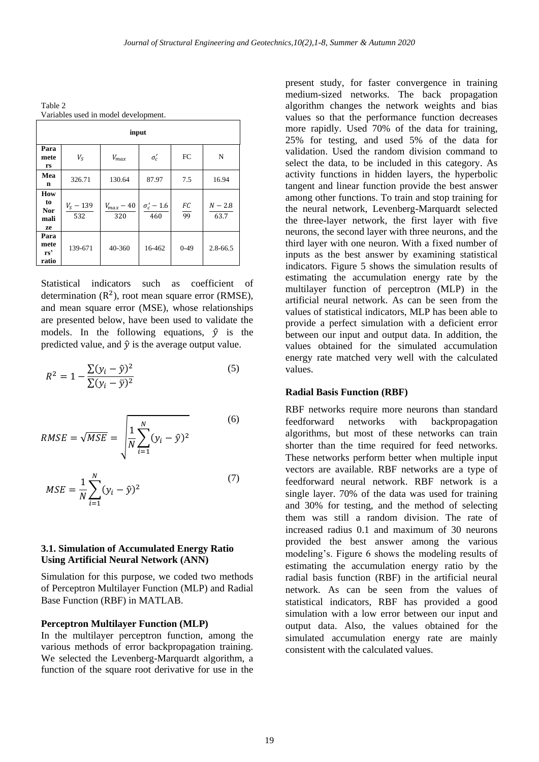Table 2 Variables used in model development.

| input                                      |                      |                       |                            |          |                   |  |
|--------------------------------------------|----------------------|-----------------------|----------------------------|----------|-------------------|--|
| Para<br>mete<br>rs                         | $V_{S}$              | $V_{max}$             | $\sigma_{c}^{\prime}$      | FC       | N                 |  |
| Mea<br>n                                   | 326.71               | 130.64                | 87.97                      | 7.5      | 16.94             |  |
| How<br>to<br><b>Nor</b><br>mali<br>ze      | $V_{S}$ – 139<br>532 | $V_{max}$ – 40<br>320 | $\sigma'_{c}$ – 1.6<br>460 | FC<br>99 | $N - 2.8$<br>63.7 |  |
| Para<br>mete<br>$rs$ <sup>2</sup><br>ratio | 139-671              | 40-360                | 16-462                     | $0-49$   | $2.8 - 66.5$      |  |

Statistical indicators such as coefficient of determination  $(R^2)$ , root mean square error (RMSE), and mean square error (MSE), whose relationships are presented below, have been used to validate the models. In the following equations,  $\hat{v}$  is the predicted value, and  $\hat{v}$  is the average output value.

$$
R^{2} = 1 - \frac{\sum (y_{i} - \hat{y})^{2}}{\sum (y_{i} - \bar{y})^{2}}
$$
 (5)

$$
RMSE = \sqrt{MSE} = \sqrt{\frac{1}{N} \sum_{i=1}^{N} (y_i - \hat{y})^2}
$$
 (6)

$$
MSE = \frac{1}{N} \sum_{i=1}^{N} (y_i - \hat{y})^2
$$
 (7)

## **3.1. Simulation of Accumulated Energy Ratio Using Artificial Neural Network (ANN)**

Simulation for this purpose, we coded two methods of Perceptron Multilayer Function (MLP) and Radial Base Function (RBF) in MATLAB.

#### **Perceptron Multilayer Function (MLP)**

In the multilayer perceptron function, among the various methods of error backpropagation training. We selected the Levenberg-Marquardt algorithm, a function of the square root derivative for use in the present study, for faster convergence in training medium-sized networks. The back propagation algorithm changes the network weights and bias values so that the performance function decreases more rapidly. Used 70% of the data for training, 25% for testing, and used 5% of the data for validation. Used the random division command to select the data, to be included in this category. As activity functions in hidden layers, the hyperbolic tangent and linear function provide the best answer among other functions. To train and stop training for the neural network, Levenberg-Marquardt selected the three-layer network, the first layer with five neurons, the second layer with three neurons, and the third layer with one neuron. With a fixed number of inputs as the best answer by examining statistical indicators. Figure 5 shows the simulation results of estimating the accumulation energy rate by the multilayer function of perceptron (MLP) in the artificial neural network. As can be seen from the values of statistical indicators, MLP has been able to provide a perfect simulation with a deficient error between our input and output data. In addition, the values obtained for the simulated accumulation energy rate matched very well with the calculated values.

#### **Radial Basis Function (RBF)**

RBF networks require more neurons than standard feedforward networks with backpropagation algorithms, but most of these networks can train shorter than the time required for feed networks. These networks perform better when multiple input vectors are available. RBF networks are a type of feedforward neural network. RBF network is a single layer. 70% of the data was used for training and 30% for testing, and the method of selecting them was still a random division. The rate of increased radius 0.1 and maximum of 30 neurons provided the best answer among the various modeling's. Figure 6 shows the modeling results of estimating the accumulation energy ratio by the radial basis function (RBF) in the artificial neural network. As can be seen from the values of statistical indicators, RBF has provided a good simulation with a low error between our input and output data. Also, the values obtained for the simulated accumulation energy rate are mainly consistent with the calculated values.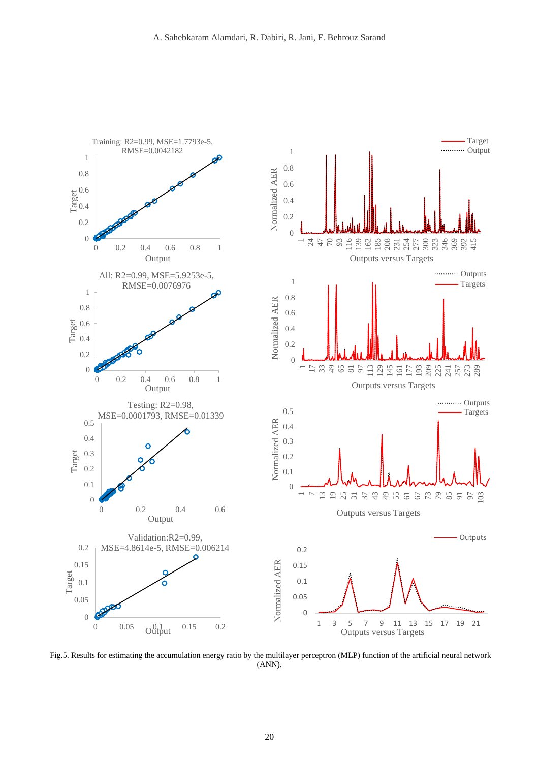

Fig.5. Results for estimating the accumulation energy ratio by the multilayer perceptron (MLP) function of the artificial neural network (ANN).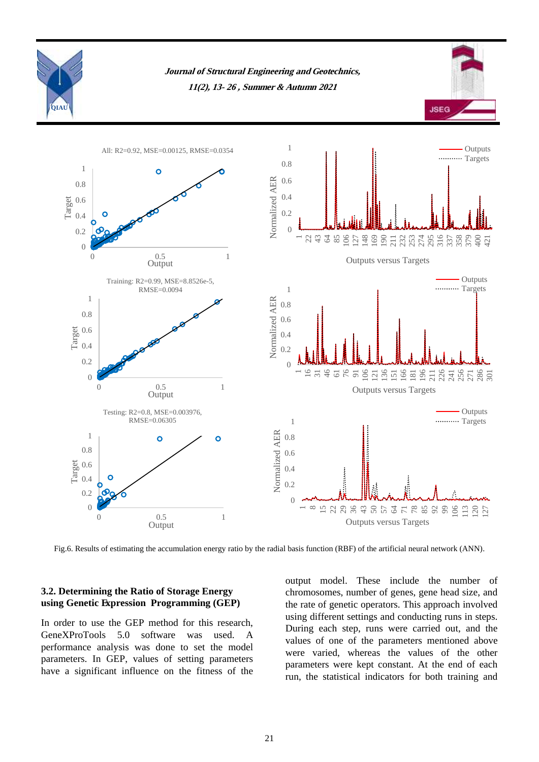

Fig.6. Results of estimating the accumulation energy ratio by the radial basis function (RBF) of the artificial neural network (ANN).

# **3.2. Determining the Ratio of Storage Energy using Genetic Expression Programming (GEP)**

In order to use the GEP method for this research, GeneXProTools 5.0 software was used. A performance analysis was done to set the model parameters. In GEP, values of setting parameters have a significant influence on the fitness of the

output model. These include the number of chromosomes, number of genes, gene head size, and the rate of genetic operators. This approach involved using different settings and conducting runs in steps. During each step, runs were carried out, and the values of one of the parameters mentioned above were varied, whereas the values of the other parameters were kept constant. At the end of each run, the statistical indicators for both training and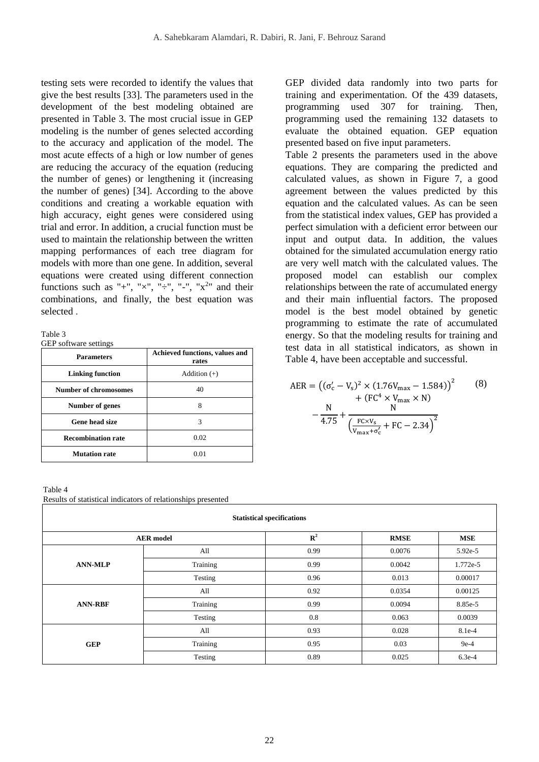testing sets were recorded to identify the values that give the best results [33]. The parameters used in the development of the best modeling obtained are presented in Table 3. The most crucial issue in GEP modeling is the number of genes selected according to the accuracy and application of the model. The most acute effects of a high or low number of genes are reducing the accuracy of the equation (reducing the number of genes) or lengthening it (increasing the number of genes) [34]. According to the above conditions and creating a workable equation with high accuracy, eight genes were considered using trial and error. In addition, a crucial function must be used to maintain the relationship between the written mapping performances of each tree diagram for models with more than one gene. In addition, several equations were created using different connection functions such as "+", " $\times$ ", " $\div$ ", "-", " $\times$ <sup>2</sup>" and their combinations, and finally, the best equation was selected .

Table 3

GEP software settings

| <b>Parameters</b>            | Achieved functions, values and<br>rates |  |  |
|------------------------------|-----------------------------------------|--|--|
| <b>Linking function</b>      | Addition $(+)$                          |  |  |
| <b>Number of chromosomes</b> | 40                                      |  |  |
| Number of genes              | 8                                       |  |  |
| Gene head size               | 3                                       |  |  |
| <b>Recombination rate</b>    | 0.02                                    |  |  |
| <b>Mutation rate</b>         | 0.01                                    |  |  |

Table 4 Results of statistical indicators of relationships presented

GEP divided data randomly into two parts for training and experimentation. Of the 439 datasets, programming used 307 for training. Then, programming used the remaining 132 datasets to evaluate the obtained equation. GEP equation presented based on five input parameters.

Table 2 presents the parameters used in the above equations. They are comparing the predicted and calculated values, as shown in Figure 7, a good agreement between the values predicted by this equation and the calculated values. As can be seen from the statistical index values, GEP has provided a perfect simulation with a deficient error between our input and output data. In addition, the values obtained for the simulated accumulation energy ratio are very well match with the calculated values. The proposed model can establish our complex relationships between the rate of accumulated energy and their main influential factors. The proposed model is the best model obtained by genetic programming to estimate the rate of accumulated energy. So that the modeling results for training and test data in all statistical indicators, as shown in Table 4, have been acceptable and successful.

$$
AER = ((\sigma_c' - V_s)^2 \times (1.76V_{\text{max}} - 1.584))^{2} \qquad (8)
$$
  
+  $(FC^{4} \times V_{\text{max}} \times N)$   
-  $\frac{N}{4.75} + \frac{N}{(\frac{FC \times V_s}{V_{\text{max}} + \sigma_c'} + FC - 2.34)^{2}}$ 

| <b>Statistical specifications</b> |          |                |             |            |  |
|-----------------------------------|----------|----------------|-------------|------------|--|
| <b>AER</b> model                  |          | $\mathbb{R}^2$ | <b>RMSE</b> | <b>MSE</b> |  |
| <b>ANN-MLP</b>                    | All      | 0.99           | 0.0076      | $5.92e-5$  |  |
|                                   | Training | 0.99           | 0.0042      | 1.772e-5   |  |
|                                   | Testing  | 0.96           | 0.013       | 0.00017    |  |
| <b>ANN-RBF</b>                    | All      | 0.92           | 0.0354      | 0.00125    |  |
|                                   | Training | 0.99           | 0.0094      | 8.85e-5    |  |
|                                   | Testing  | 0.8            | 0.063       | 0.0039     |  |
| <b>GEP</b>                        | All      | 0.93           | 0.028       | 8.1e-4     |  |
|                                   | Training | 0.95           | 0.03        | $9e-4$     |  |
|                                   | Testing  | 0.89           | 0.025       | $6.3e-4$   |  |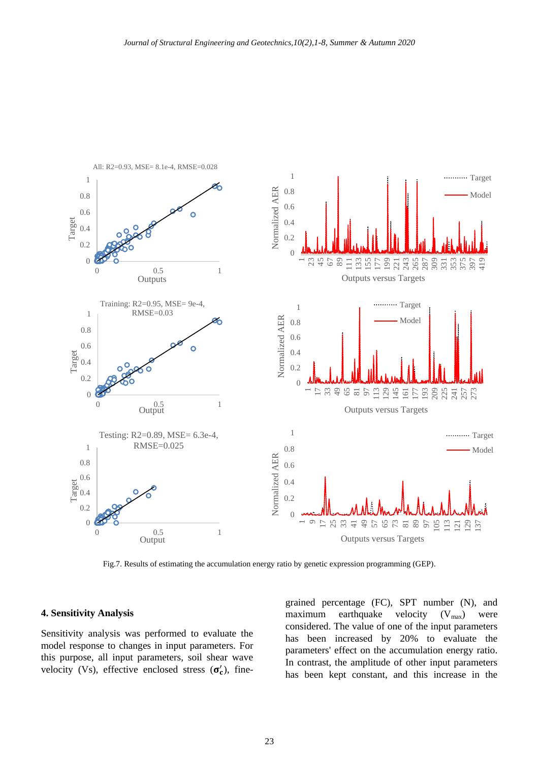

All: R2=0.93, MSE= 8.1e-4, RMSE=0.028

Fig.7. Results of estimating the accumulation energy ratio by genetic expression programming (GEP).

#### **4. Sensitivity Analysis**

Sensitivity analysis was performed to evaluate the model response to changes in input parameters. For this purpose, all input parameters, soil shear wave velocity (Vs), effective enclosed stress  $(\sigma'_{c})$ , finegrained percentage (FC), SPT number (N), and maximum earthquake velocity  $(V_{max})$  were considered. The value of one of the input parameters has been increased by 20% to evaluate the parameters' effect on the accumulation energy ratio. In contrast, the amplitude of other input parameters has been kept constant, and this increase in the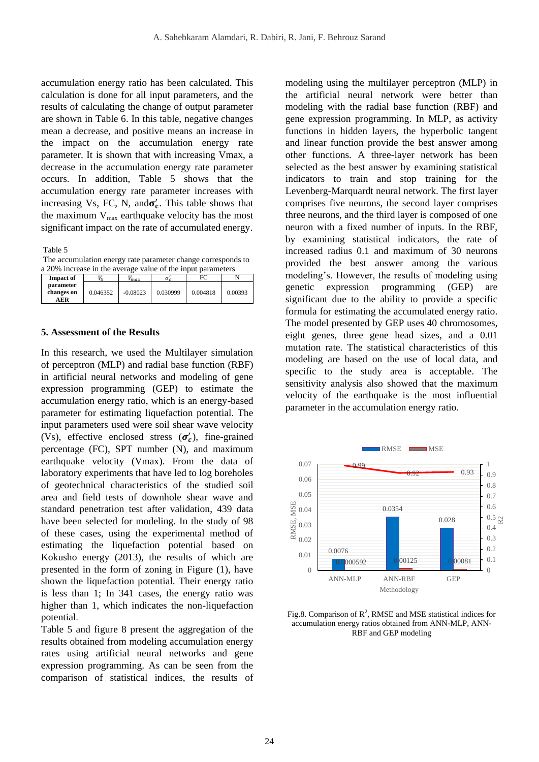accumulation energy ratio has been calculated. This calculation is done for all input parameters, and the results of calculating the change of output parameter are shown in Table 6. In this table, negative changes mean a decrease, and positive means an increase in the impact on the accumulation energy rate parameter. It is shown that with increasing Vmax, a decrease in the accumulation energy rate parameter occurs. In addition, Table 5 shows that the accumulation energy rate parameter increases with increasing Vs, FC, N, and  $\sigma'_{c}$ . This table shows that the maximum  $V_{\text{max}}$  earthquake velocity has the most significant impact on the rate of accumulated energy.

Table 5

The accumulation energy rate parameter change corresponds to a 20% increase in the average value of the input parameters

| <b>Impact of</b>               |          | 'max       | σ.       | FC       |         |
|--------------------------------|----------|------------|----------|----------|---------|
| parameter<br>changes on<br>AER | 0.046352 | $-0.08023$ | 0.030999 | 0.004818 | 0.00393 |

#### **5. Assessment of the Results**

In this research, we used the Multilayer simulation of perceptron (MLP) and radial base function (RBF) in artificial neural networks and modeling of gene expression programming (GEP) to estimate the accumulation energy ratio, which is an energy-based parameter for estimating liquefaction potential. The input parameters used were soil shear wave velocity (Vs), effective enclosed stress  $(\sigma'_c)$ , fine-grained percentage (FC), SPT number (N), and maximum earthquake velocity (Vmax). From the data of laboratory experiments that have led to log boreholes of geotechnical characteristics of the studied soil area and field tests of downhole shear wave and standard penetration test after validation, 439 data have been selected for modeling. In the study of 98 of these cases, using the experimental method of estimating the liquefaction potential based on Kokusho energy (2013), the results of which are presented in the form of zoning in Figure (1), have shown the liquefaction potential. Their energy ratio is less than 1; In 341 cases, the energy ratio was higher than 1, which indicates the non-liquefaction potential.

Table 5 and figure 8 present the aggregation of the results obtained from modeling accumulation energy rates using artificial neural networks and gene expression programming. As can be seen from the comparison of statistical indices, the results of

modeling using the multilayer perceptron (MLP) in the artificial neural network were better than modeling with the radial base function (RBF) and gene expression programming. In MLP, as activity functions in hidden layers, the hyperbolic tangent and linear function provide the best answer among other functions. A three-layer network has been selected as the best answer by examining statistical indicators to train and stop training for the Levenberg-Marquardt neural network. The first layer comprises five neurons, the second layer comprises three neurons, and the third layer is composed of one neuron with a fixed number of inputs. In the RBF, by examining statistical indicators, the rate of increased radius 0.1 and maximum of 30 neurons provided the best answer among the various modeling's. However, the results of modeling using genetic expression programming (GEP) are significant due to the ability to provide a specific formula for estimating the accumulated energy ratio. The model presented by GEP uses 40 chromosomes, eight genes, three gene head sizes, and a 0.01 mutation rate. The statistical characteristics of this modeling are based on the use of local data, and specific to the study area is acceptable. The sensitivity analysis also showed that the maximum velocity of the earthquake is the most influential parameter in the accumulation energy ratio.



Fig.8. Comparison of  $\mathbb{R}^2$ , RMSE and MSE statistical indices for accumulation energy ratios obtained from ANN-MLP, ANN-RBF and GEP modeling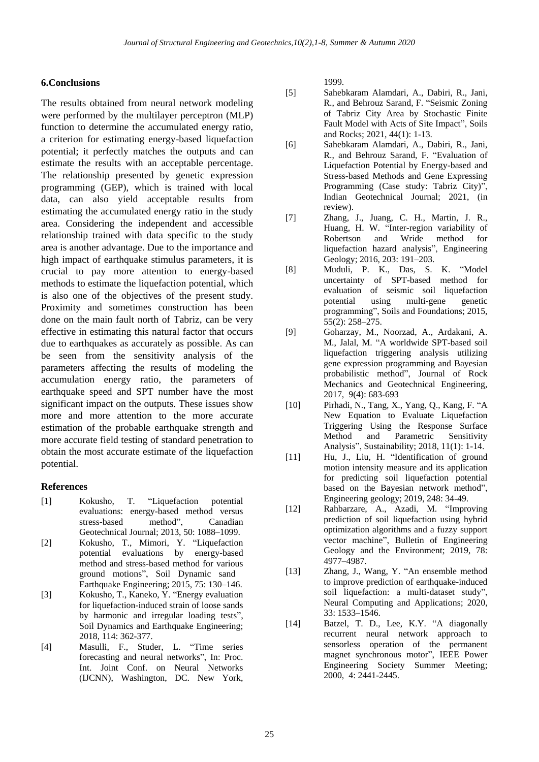## **6.Conclusions**

The results obtained from neural network modeling were performed by the multilayer perceptron (MLP) function to determine the accumulated energy ratio, a criterion for estimating energy-based liquefaction potential; it perfectly matches the outputs and can estimate the results with an acceptable percentage. The relationship presented by genetic expression programming (GEP), which is trained with local data, can also yield acceptable results from estimating the accumulated energy ratio in the study area. Considering the independent and accessible relationship trained with data specific to the study area is another advantage. Due to the importance and high impact of earthquake stimulus parameters, it is crucial to pay more attention to energy-based methods to estimate the liquefaction potential, which is also one of the objectives of the present study. Proximity and sometimes construction has been done on the main fault north of Tabriz, can be very effective in estimating this natural factor that occurs due to earthquakes as accurately as possible. As can be seen from the sensitivity analysis of the parameters affecting the results of modeling the accumulation energy ratio, the parameters of earthquake speed and SPT number have the most significant impact on the outputs. These issues show more and more attention to the more accurate estimation of the probable earthquake strength and more accurate field testing of standard penetration to obtain the most accurate estimate of the liquefaction potential.

## **References**

- [1] Kokusho, T. "Liquefaction potential evaluations: energy-based method versus stress-based method", Canadian Geotechnical Journal; 2013, 50: 1088–1099.
- [2] Kokusho, T., Mimori, Y. "Liquefaction potential evaluations by energy-based method and stress-based method for various ground motions", Soil Dynamic sand Earthquake Engineering; 2015, 75: 130–146.
- [3] Kokusho, T., Kaneko, Y. "Energy evaluation for liquefaction-induced strain of loose sands by harmonic and irregular loading tests", Soil Dynamics and Earthquake Engineering; 2018, 114: 362-377.
- [4] Masulli, F., Studer, L. "Time series forecasting and neural networks", In: Proc. Int. Joint Conf. on Neural Networks (IJCNN), Washington, DC. New York,

1999.

- [5] Sahebkaram Alamdari, A., Dabiri, R., Jani, R., and Behrouz Sarand, F. "Seismic Zoning of Tabriz City Area by Stochastic Finite Fault Model with Acts of Site Impact", Soils and Rocks; 2021, 44(1): 1-13.
- [6] Sahebkaram Alamdari, A., Dabiri, R., Jani, R., and Behrouz Sarand, F. "Evaluation of Liquefaction Potential by Energy-based and Stress-based Methods and Gene Expressing Programming (Case study: Tabriz City)", Indian Geotechnical Journal; 2021, (in review).
- [7] Zhang, J., Juang, C. H., Martin, J. R., Huang, H. W. "Inter-region variability of Robertson and Wride method for liquefaction hazard analysis", Engineering Geology; 2016, 203: 191–203.
- [8] Muduli, P. K., Das, S. K. "Model uncertainty of SPT-based method for evaluation of seismic soil liquefaction potential using multi-gene genetic programming", Soils and Foundations; 2015, 55(2): 258–275.
- [9] Goharzay, M., Noorzad, A., Ardakani, A. M., Jalal, M. "A worldwide SPT-based soil liquefaction triggering analysis utilizing gene expression programming and Bayesian probabilistic method", Journal of Rock Mechanics and Geotechnical Engineering, 2017, 9(4): 683-693
- [10] Pirhadi, N., Tang, X., Yang, Q., Kang, F. "A New Equation to Evaluate Liquefaction Triggering Using the Response Surface Method and Parametric Sensitivity Analysis", Sustainability; 2018, 11(1): 1-14.
- [11] Hu, J., Liu, H. "Identification of ground motion intensity measure and its application for predicting soil liquefaction potential based on the Bayesian network method", Engineering geology; 2019, 248: 34-49.
- [12] Rahbarzare, A., Azadi, M. "Improving prediction of soil liquefaction using hybrid optimization algorithms and a fuzzy support vector machine", Bulletin of Engineering Geology and the Environment; 2019, 78: 4977–4987.
- [13] Zhang, J., Wang, Y. "An ensemble method to improve prediction of earthquake-induced soil liquefaction: a multi-dataset study", Neural Computing and Applications; 2020, 33: 1533–1546.
- [14] Batzel, T. D., Lee, K.Y. "A diagonally recurrent neural network approach to sensorless operation of the permanent magnet synchronous motor", IEEE Power Engineering Society Summer Meeting; 2000, 4: 2441-2445.